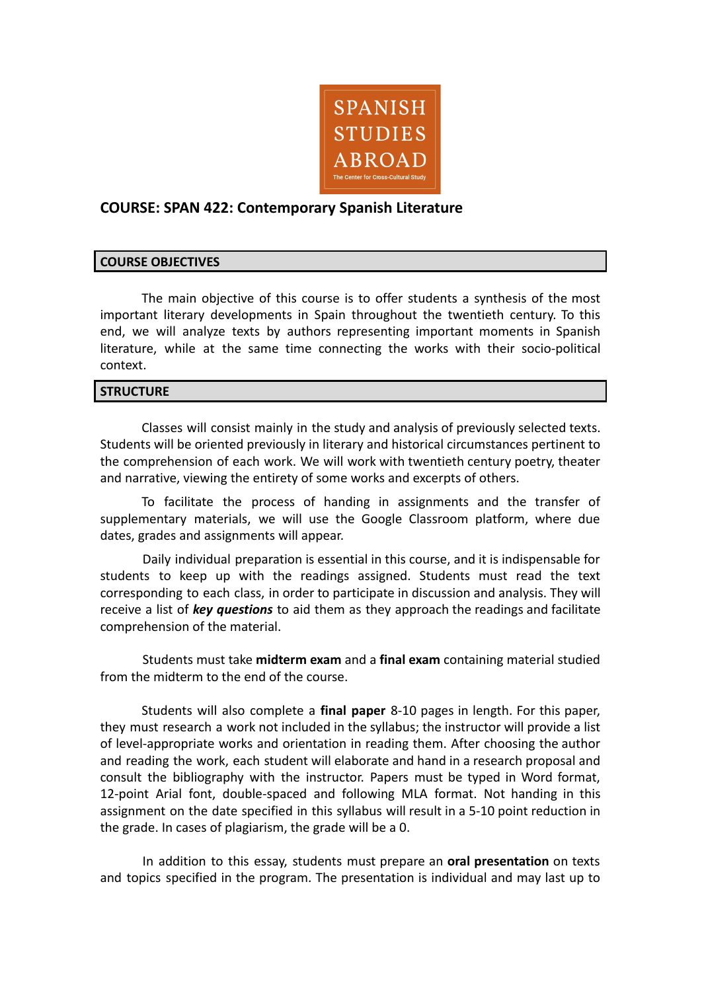

# **COURSE: SPAN 422: Contemporary Spanish Literature**

### **COURSE OBJECTIVES**

The main objective of this course is to offer students a synthesis of the most important literary developments in Spain throughout the twentieth century. To this end, we will analyze texts by authors representing important moments in Spanish literature, while at the same time connecting the works with their socio-political context.

### **STRUCTURE**

Classes will consist mainly in the study and analysis of previously selected texts. Students will be oriented previously in literary and historical circumstances pertinent to the comprehension of each work. We will work with twentieth century poetry, theater and narrative, viewing the entirety of some works and excerpts of others.

To facilitate the process of handing in assignments and the transfer of supplementary materials, we will use the Google Classroom platform, where due dates, grades and assignments will appear.

Daily individual preparation is essential in this course, and it is indispensable for students to keep up with the readings assigned. Students must read the text corresponding to each class, in order to participate in discussion and analysis. They will receive a list of *key questions* to aid them as they approach the readings and facilitate comprehension of the material.

Students must take **midterm exam** and a **final exam** containing material studied from the midterm to the end of the course.

Students will also complete a **final paper** 8-10 pages in length. For this paper, they must research a work not included in the syllabus; the instructor will provide a list of level-appropriate works and orientation in reading them. After choosing the author and reading the work, each student will elaborate and hand in a research proposal and consult the bibliography with the instructor. Papers must be typed in Word format, 12-point Arial font, double-spaced and following MLA format. Not handing in this assignment on the date specified in this syllabus will result in a 5-10 point reduction in the grade. In cases of plagiarism, the grade will be a 0.

In addition to this essay, students must prepare an **oral presentation** on texts and topics specified in the program. The presentation is individual and may last up to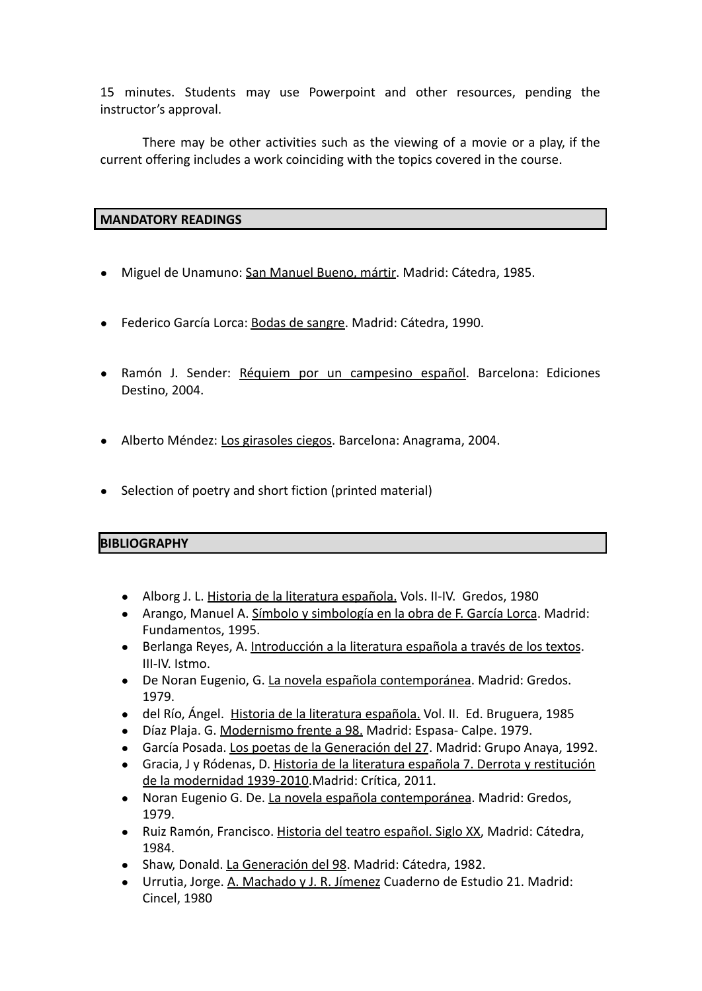15 minutes. Students may use Powerpoint and other resources, pending the instructor's approval.

There may be other activities such as the viewing of a movie or a play, if the current offering includes a work coinciding with the topics covered in the course.

### **MANDATORY READINGS**

- Miguel de Unamuno: San Manuel Bueno, mártir. Madrid: Cátedra, 1985.
- Federico García Lorca: Bodas de sangre. Madrid: Cátedra, 1990.
- Ramón J. Sender: Réquiem por un campesino español. Barcelona: Ediciones Destino, 2004.
- Alberto Méndez: Los girasoles ciegos. Barcelona: Anagrama, 2004.
- Selection of poetry and short fiction (printed material)

## **BIBLIOGRAPHY**

- Alborg J. L. Historia de la literatura española. Vols. II-IV. Gredos, 1980
- Arango, Manuel A. Símbolo y simbología en la obra de F. García Lorca. Madrid: Fundamentos, 1995.
- Berlanga Reyes, A. Introducción a la literatura española a través de los textos. III-IV. Istmo.
- De Noran Eugenio, G. La novela española contemporánea. Madrid: Gredos. 1979.
- del Río, Ángel. Historia de la literatura española. Vol. II. Ed. Bruguera, 1985
- Díaz Plaja. G. Modernismo frente a 98. Madrid: Espasa- Calpe. 1979.
- García Posada. Los poetas de la Generación del 27. Madrid: Grupo Anaya, 1992.
- Gracia, J y Ródenas, D. Historia de la literatura española 7. Derrota y restitución de la modernidad 1939-2010.Madrid: Crítica, 2011.
- Noran Eugenio G. De. La novela española contemporánea. Madrid: Gredos, 1979.
- Ruiz Ramón, Francisco. Historia del teatro español. Siglo XX, Madrid: Cátedra, 1984.
- Shaw, Donald. La Generación del 98. Madrid: Cátedra, 1982.
- Urrutia, Jorge. A. Machado y J. R. Jímenez Cuaderno de Estudio 21. Madrid: Cincel, 1980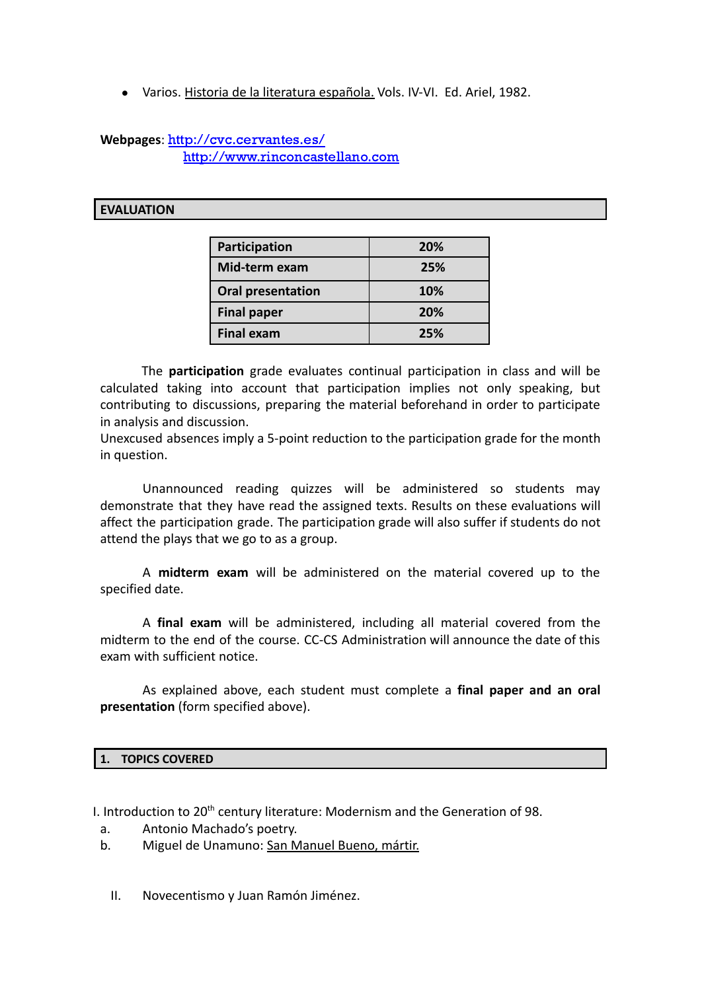● Varios. Historia de la literatura española. Vols. IV-VI. Ed. Ariel, 1982.

### **Webpages**: <http://cvc.cervantes.es/> <http://www.rinconcastellano.com>

### **EVALUATION**

| Participation            | 20%        |
|--------------------------|------------|
| Mid-term exam            | 25%        |
| <b>Oral presentation</b> | <b>10%</b> |
| <b>Final paper</b>       | <b>20%</b> |
| <b>Final exam</b>        | 25%        |

The **participation** grade evaluates continual participation in class and will be calculated taking into account that participation implies not only speaking, but contributing to discussions, preparing the material beforehand in order to participate in analysis and discussion.

Unexcused absences imply a 5-point reduction to the participation grade for the month in question.

Unannounced reading quizzes will be administered so students may demonstrate that they have read the assigned texts. Results on these evaluations will affect the participation grade. The participation grade will also suffer if students do not attend the plays that we go to as a group.

A **midterm exam** will be administered on the material covered up to the specified date.

A **final exam** will be administered, including all material covered from the midterm to the end of the course. CC-CS Administration will announce the date of this exam with sufficient notice.

As explained above, each student must complete a **final paper and an oral presentation** (form specified above).

### **1. TOPICS COVERED**

I. Introduction to 20<sup>th</sup> century literature: Modernism and the Generation of 98.

- a. Antonio Machado's poetry.
- b. Miguel de Unamuno: San Manuel Bueno, mártir.
	- II. Novecentismo y Juan Ramón Jiménez.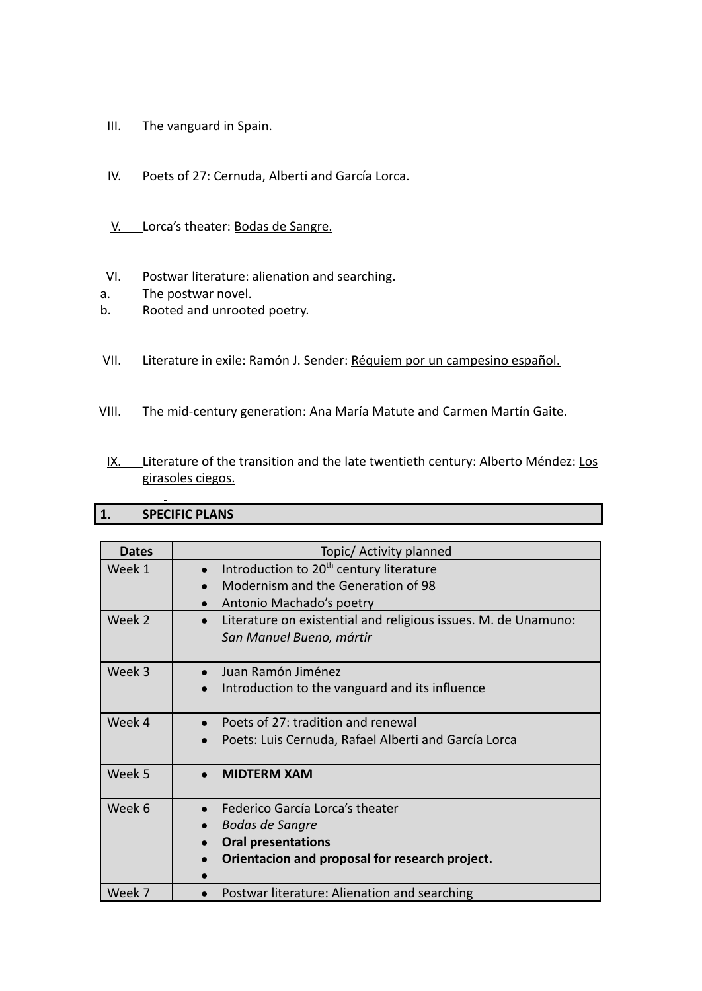- III. The vanguard in Spain.
- IV. Poets of 27: Cernuda, Alberti and García Lorca.
- V. Lorca's theater: Bodas de Sangre.
- VI. Postwar literature: alienation and searching.
- a. The postwar novel.
- b. Rooted and unrooted poetry.
- VII. Literature in exile: Ramón J. Sender: Réquiem por un campesino español.
- VIII. The mid-century generation: Ana María Matute and Carmen Martín Gaite.
	- IX. Literature of the transition and the late twentieth century: Alberto Méndez: Los girasoles ciegos.

## **1. SPECIFIC PLANS**

| <b>Dates</b> | Topic/ Activity planned                                                                                                                  |
|--------------|------------------------------------------------------------------------------------------------------------------------------------------|
| Week 1       | Introduction to 20 <sup>th</sup> century literature<br>$\bullet$<br>Modernism and the Generation of 98<br>Antonio Machado's poetry       |
| Week 2       | Literature on existential and religious issues. M. de Unamuno:<br>San Manuel Bueno, mártir                                               |
| Week 3       | Juan Ramón Jiménez<br>Introduction to the vanguard and its influence                                                                     |
| Week 4       | Poets of 27: tradition and renewal<br>Poets: Luis Cernuda, Rafael Alberti and García Lorca                                               |
| Week 5       | <b>MIDTERM XAM</b>                                                                                                                       |
| Week 6       | Federico García Lorca's theater<br><b>Bodas de Sangre</b><br><b>Oral presentations</b><br>Orientacion and proposal for research project. |
| Week 7       | Postwar literature: Alienation and searching                                                                                             |